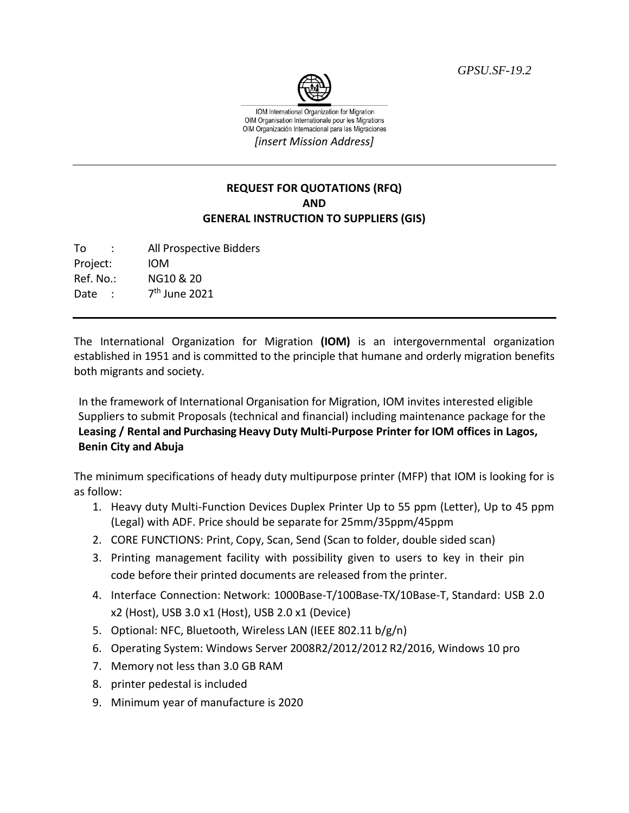*GPSU.SF-19.2*



IOM International Organization for Migration OIM Organisation Internationale pour les Migrations OIM Organización Internacional para las Migraciones *[insert Mission Address]*

## **REQUEST FOR QUOTATIONS (RFQ) AND GENERAL INSTRUCTION TO SUPPLIERS (GIS)**

To : All Prospective Bidders Project: IOM Ref. No.: NG10 & 20 Date :  $7<sup>th</sup>$  June 2021

The International Organization for Migration **(IOM)** is an intergovernmental organization established in 1951 and is committed to the principle that humane and orderly migration benefits both migrants and society.

In the framework of International Organisation for Migration, IOM invites interested eligible Suppliers to submit Proposals (technical and financial) including maintenance package for the **Leasing / Rental and Purchasing Heavy Duty Multi-Purpose Printer for IOM offices in Lagos, Benin City and Abuja**

The minimum specifications of heady duty multipurpose printer (MFP) that IOM is looking for is as follow:

- 1. Heavy duty Multi-Function Devices Duplex Printer Up to 55 ppm (Letter), Up to 45 ppm (Legal) with ADF. Price should be separate for 25mm/35ppm/45ppm
- 2. CORE FUNCTIONS: Print, Copy, Scan, Send (Scan to folder, double sided scan)
- 3. Printing management facility with possibility given to users to key in their pin code before their printed documents are released from the printer.
- 4. Interface Connection: Network: 1000Base-T/100Base-TX/10Base-T, Standard: USB 2.0 x2 (Host), USB 3.0 x1 (Host), USB 2.0 x1 (Device)
- 5. Optional: NFC, Bluetooth, Wireless LAN (IEEE 802.11 b/g/n)
- 6. Operating System: Windows Server 2008R2/2012/2012 R2/2016, Windows 10 pro
- 7. Memory not less than 3.0 GB RAM
- 8. printer pedestal is included
- 9. Minimum year of manufacture is 2020